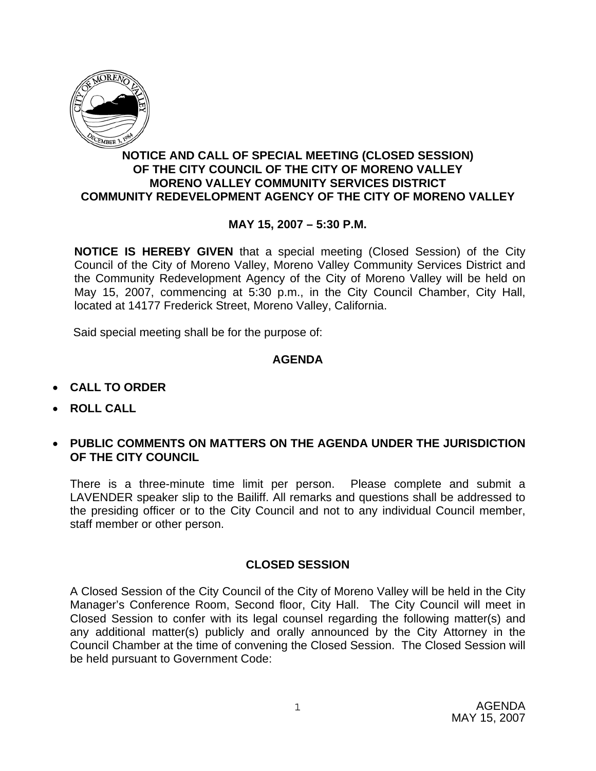

# **NOTICE AND CALL OF SPECIAL MEETING (CLOSED SESSION) OF THE CITY COUNCIL OF THE CITY OF MORENO VALLEY MORENO VALLEY COMMUNITY SERVICES DISTRICT COMMUNITY REDEVELOPMENT AGENCY OF THE CITY OF MORENO VALLEY**

# **MAY 15, 2007 – 5:30 P.M.**

**NOTICE IS HEREBY GIVEN** that a special meeting (Closed Session) of the City Council of the City of Moreno Valley, Moreno Valley Community Services District and the Community Redevelopment Agency of the City of Moreno Valley will be held on May 15, 2007, commencing at 5:30 p.m., in the City Council Chamber, City Hall, located at 14177 Frederick Street, Moreno Valley, California.

Said special meeting shall be for the purpose of:

### **AGENDA**

- **CALL TO ORDER**
- **ROLL CALL**
- **PUBLIC COMMENTS ON MATTERS ON THE AGENDA UNDER THE JURISDICTION OF THE CITY COUNCIL**

There is a three-minute time limit per person. Please complete and submit a LAVENDER speaker slip to the Bailiff. All remarks and questions shall be addressed to the presiding officer or to the City Council and not to any individual Council member, staff member or other person.

### **CLOSED SESSION**

A Closed Session of the City Council of the City of Moreno Valley will be held in the City Manager's Conference Room, Second floor, City Hall. The City Council will meet in Closed Session to confer with its legal counsel regarding the following matter(s) and any additional matter(s) publicly and orally announced by the City Attorney in the Council Chamber at the time of convening the Closed Session. The Closed Session will be held pursuant to Government Code: